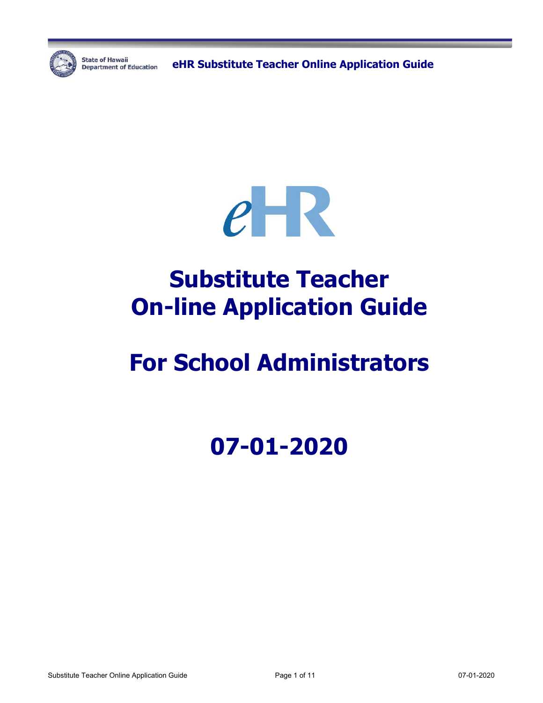

**State of Hawaii** 

State of Hawaii **Capacter Condensity Condensity Constant Online Application Guide** 



# **Substitute Teacher On-line Application Guide**

# **For School Administrators**

# **07-01-2020**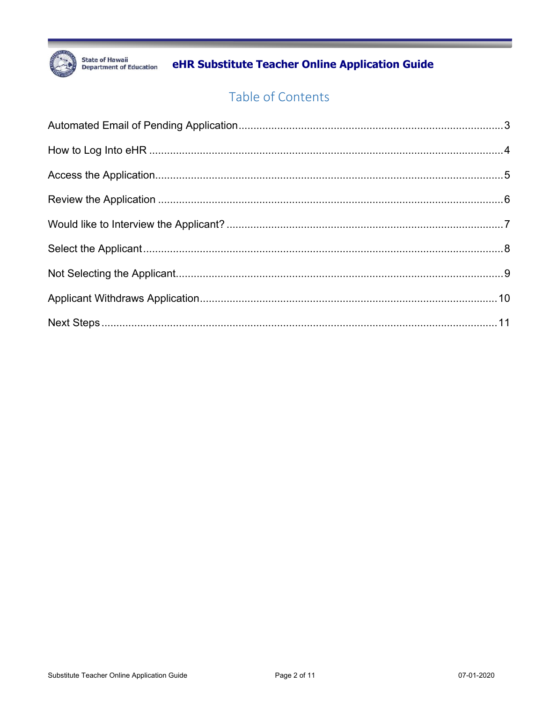

eHR Substitute Teacher Online Application Guide

# Table of Contents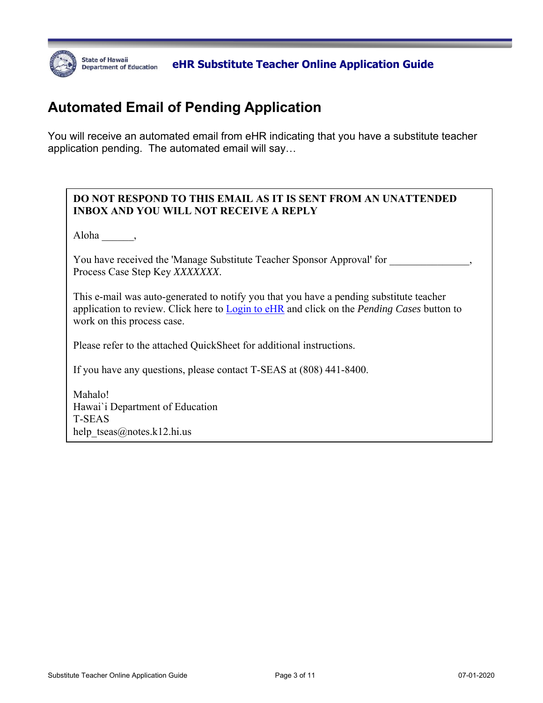

**BEATE OF HAWAII** DEALT CHAR Substitute Teacher Online Application Guide **Department of Education** (

# **Automated Email of Pending Application**

You will receive an automated email from eHR indicating that you have a substitute teacher application pending. The automated email will say…

#### **DO NOT RESPOND TO THIS EMAIL AS IT IS SENT FROM AN UNATTENDED INBOX AND YOU WILL NOT RECEIVE A REPLY**

Aloha \_\_\_\_\_\_,

You have received the 'Manage Substitute Teacher Sponsor Approval' for Process Case Step Key *XXXXXXX*.

This e-mail was auto-generated to notify you that you have a pending substitute teacher application to review. Click here to Login to eHR and click on the *Pending Cases* button to work on this process case.

Please refer to the attached QuickSheet for additional instructions.

If you have any questions, please contact T-SEAS at (808) 441-8400.

Mahalo! Hawai`i Department of Education T-SEAS help  $tseas@notes.k12.hi.us$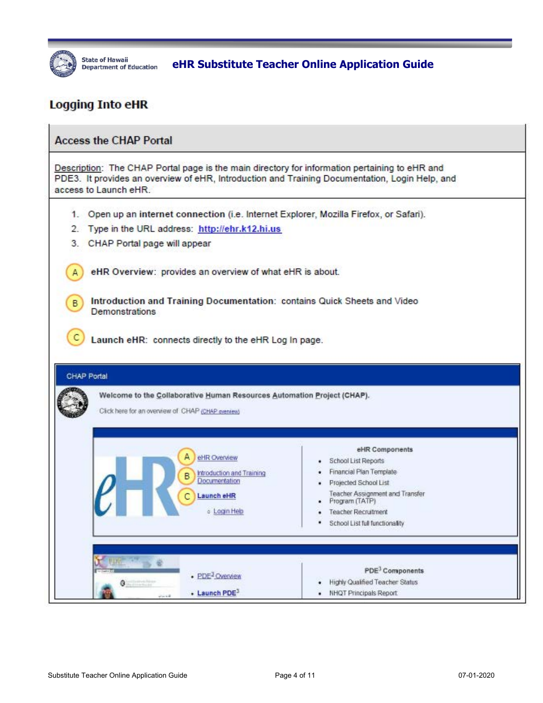

State of Hawaii **Education** eHR Substitute Teacher Online Application Guide

### **Logging Into eHR**

| <b>Access the CHAP Portal</b>                                                                                                                                                                                                                                                                                                                                                                                                                                                                                                                                   |                                                                                                                                                                                                                |
|-----------------------------------------------------------------------------------------------------------------------------------------------------------------------------------------------------------------------------------------------------------------------------------------------------------------------------------------------------------------------------------------------------------------------------------------------------------------------------------------------------------------------------------------------------------------|----------------------------------------------------------------------------------------------------------------------------------------------------------------------------------------------------------------|
| Description: The CHAP Portal page is the main directory for information pertaining to eHR and<br>PDE3. It provides an overview of eHR, Introduction and Training Documentation, Login Help, and<br>access to Launch eHR.                                                                                                                                                                                                                                                                                                                                        |                                                                                                                                                                                                                |
| 1. Open up an internet connection (i.e. Internet Explorer, Mozilla Firefox, or Safari).<br>2. Type in the URL address: http://ehr.k12.hi.us<br>3.<br>CHAP Portal page will appear<br>eHR Overview: provides an overview of what eHR is about.<br>Introduction and Training Documentation: contains Quick Sheets and Video<br>в<br><b>Demonstrations</b><br>Launch eHR: connects directly to the eHR Log In page.<br>CHAP Portal<br>Welcome to the Collaborative Human Resources Automation Project (CHAP).<br>Click here for an overview of CHAP (CHAP greniew) |                                                                                                                                                                                                                |
| eHR Overview<br>Introduction and Training<br>B<br><b>Documentation</b><br>Launch eHR<br>c Login Help                                                                                                                                                                                                                                                                                                                                                                                                                                                            | eHR Components<br>School List Reports<br>Financial Plan Template<br>Projected School List<br>Teacher Assignment and Transfer<br>Program (TATP)<br><b>Teacher Recruitment</b><br>School List full functionality |
| $\Rightarrow$ $\theta$<br>· PDE <sup>3</sup> Overview<br>$\bullet$<br>- Launch PDE <sup>3</sup><br>view 4.4                                                                                                                                                                                                                                                                                                                                                                                                                                                     | PDE <sup>3</sup> Components<br>Highly Qualified Teacher Status<br>NHQT Principals Report.                                                                                                                      |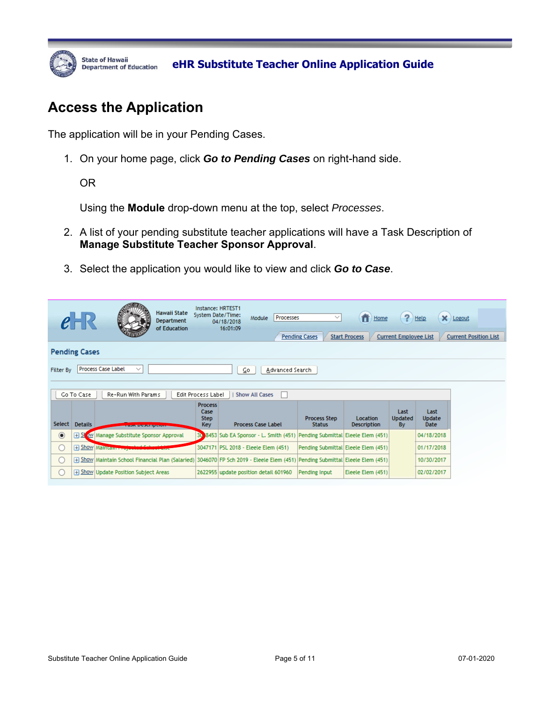

### **Access the Application**

The application will be in your Pending Cases.

1. On your home page, click *Go to Pending Cases* on right-hand side.

OR

Using the **Module** drop-down menu at the top, select *Processes*.

- 2. A list of your pending substitute teacher applications will have a Task Description of **Manage Substitute Teacher Sponsor Approval**.
- 3. Select the application you would like to view and click *Go to Case*.

|                                                                          |                      | Hawaii State<br><b>Department</b><br>of Education                                                                                | Instance: HRTEST1                                   | System Date/Time:<br>Processes<br>Module<br>04/18/2018<br>16:01:09       | $\checkmark$<br><b>Pending Cases</b> | Home<br><b>Start Process</b>          | ?<br><b>Current Employee List</b> | Help                          | $\times$ Logout<br><b>Current Position List</b> |  |  |  |
|--------------------------------------------------------------------------|----------------------|----------------------------------------------------------------------------------------------------------------------------------|-----------------------------------------------------|--------------------------------------------------------------------------|--------------------------------------|---------------------------------------|-----------------------------------|-------------------------------|-------------------------------------------------|--|--|--|
|                                                                          | <b>Pending Cases</b> |                                                                                                                                  |                                                     |                                                                          |                                      |                                       |                                   |                               |                                                 |  |  |  |
| Process Case Label<br>$\checkmark$<br>Advanced Search<br>Filter By<br>⊆ο |                      |                                                                                                                                  |                                                     |                                                                          |                                      |                                       |                                   |                               |                                                 |  |  |  |
|                                                                          |                      |                                                                                                                                  |                                                     |                                                                          |                                      |                                       |                                   |                               |                                                 |  |  |  |
|                                                                          | Go To Case           | Re-Run With Params                                                                                                               | Edit Process Label                                  | <b>Show All Cases</b><br>H.                                              |                                      |                                       |                                   |                               |                                                 |  |  |  |
| Select                                                                   | <b>Details</b>       | <b>BUSINE DISPOSITION IN</b>                                                                                                     | <b>Process</b><br>Case<br><b>Step</b><br><b>Key</b> | <b>Process Case Label</b>                                                | <b>Process Step</b><br><b>Status</b> | <b>Location</b><br><b>Description</b> | Last<br><b>Updated</b><br>By      | Last<br>Update<br><b>Date</b> |                                                 |  |  |  |
| $\odot$                                                                  | SI                   | ow Manage Substitute Sponsor Approval                                                                                            | 30                                                  | 8453 Sub EA Sponsor - L. Smith (451) Pending Submittal Eleele Elem (451) |                                      |                                       |                                   | 04/18/2018                    |                                                 |  |  |  |
| O                                                                        |                      | <b>H</b> Show Maintain Proper                                                                                                    |                                                     | 3047171 PSL 2018 - Eleele Elem (451)                                     | Pending Submittal Eleele Elem (451)  |                                       |                                   | 01/17/2018                    |                                                 |  |  |  |
| $\bigcirc$                                                               |                      | [451] Show Maintain School Financial Plan (Salaried) 3046070 FP Sch 2019 - Eleele Elem (451) Pending Submittal Eleele Elem (451) |                                                     |                                                                          |                                      |                                       |                                   | 10/30/2017                    |                                                 |  |  |  |
| ∩                                                                        |                      | F Show Update Position Subject Areas                                                                                             |                                                     | 2622955 update position detail 601960                                    | Pending Input                        | Eleele Elem (451)                     |                                   | 02/02/2017                    |                                                 |  |  |  |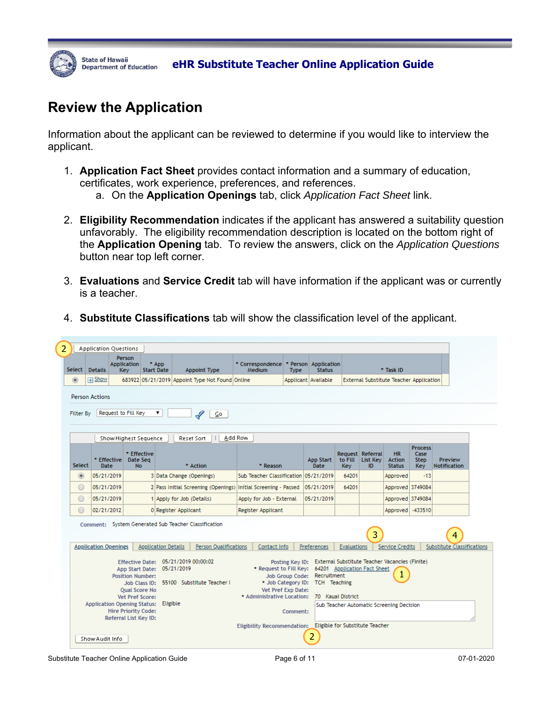

### **Review the Application**

Information about the applicant can be reviewed to determine if you would like to interview the applicant.

- 1. **Application Fact Sheet** provides contact information and a summary of education, certificates, work experience, preferences, and references.
	- a. On the **Application Openings** tab, click *Application Fact Sheet* link.
- 2. **Eligibility Recommendation** indicates if the applicant has answered a suitability question unfavorably. The eligibility recommendation description is located on the bottom right of the **Application Opening** tab. To review the answers, click on the *Application Questions* button near top left corner.
- 3. **Evaluations** and **Service Credit** tab will have information if the applicant was or currently is a teacher.

|                                                                                                                                                                                                                                                                                                                                                                                                | <b>Application Questions</b>         |                                                                        |                            |                                                                                      |                                                               |          |                                       |                |                                    |                                                |                                               |                                        |
|------------------------------------------------------------------------------------------------------------------------------------------------------------------------------------------------------------------------------------------------------------------------------------------------------------------------------------------------------------------------------------------------|--------------------------------------|------------------------------------------------------------------------|----------------------------|--------------------------------------------------------------------------------------|---------------------------------------------------------------|----------|---------------------------------------|----------------|------------------------------------|------------------------------------------------|-----------------------------------------------|----------------------------------------|
| Select                                                                                                                                                                                                                                                                                                                                                                                         | <b>Details</b>                       | Person<br><b>Application</b><br>Key                                    | * App<br><b>Start Date</b> | Appoint Type                                                                         | * Correspondence<br>Medium                                    | Type     | * Person Application<br><b>Status</b> |                |                                    | * Task ID                                      |                                               |                                        |
| $\circledcirc$                                                                                                                                                                                                                                                                                                                                                                                 | F Show                               |                                                                        |                            | 683922 05/21/2019 Appoint Type Not Found Online                                      |                                                               |          | Applicant Available                   |                |                                    | <b>External Substitute Teacher Application</b> |                                               |                                        |
| <b>Person Actions</b><br>Request to Fill Key<br>۷.<br><b>Filter By</b><br>$\mathscr{L}$<br>⊆o                                                                                                                                                                                                                                                                                                  |                                      |                                                                        |                            |                                                                                      |                                                               |          |                                       |                |                                    |                                                |                                               |                                        |
| Add Row<br>Show Highest Sequence<br>Reset Sort                                                                                                                                                                                                                                                                                                                                                 |                                      |                                                                        |                            |                                                                                      |                                                               |          |                                       |                |                                    |                                                |                                               |                                        |
| Select                                                                                                                                                                                                                                                                                                                                                                                         | * Effective<br><b>Date</b>           | * Effective<br>Date Seg<br><b>No</b>                                   |                            | * Action                                                                             | * Reason                                                      |          | App Start<br><b>Date</b>              | to Fill<br>Key | Request Referral<br>List Key<br>ID | <b>HR</b><br>Action<br><b>Status</b>           | <b>Process</b><br>Case<br>Step.<br><b>Kev</b> | Preview<br><b>Notification</b>         |
| $\circledcirc$                                                                                                                                                                                                                                                                                                                                                                                 | 05/21/2019                           |                                                                        |                            | 3 Data Change (Openings)                                                             | Sub Teacher Classification                                    |          | 05/21/2019                            | 64201          |                                    | Approved                                       | $-13$                                         |                                        |
| $\circ$                                                                                                                                                                                                                                                                                                                                                                                        | 05/21/2019                           |                                                                        |                            | 2 Pass Initial Screening (Openings) Initial Screening - Passed                       |                                                               |          | 05/21/2019                            | 64201          |                                    | Approved 3749084                               |                                               |                                        |
| $\circ$                                                                                                                                                                                                                                                                                                                                                                                        | 05/21/2019                           |                                                                        |                            | 1 Apply for Job (Details)                                                            | Apply for Job - External                                      |          | 05/21/2019                            |                |                                    | Approved 3749084                               |                                               |                                        |
| $\bigcirc$                                                                                                                                                                                                                                                                                                                                                                                     | 02/21/2012                           |                                                                        |                            | 0 Register Applicant                                                                 | Register Applicant                                            |          |                                       |                |                                    | Approved                                       | $-433510$                                     |                                        |
|                                                                                                                                                                                                                                                                                                                                                                                                |                                      |                                                                        |                            | Comment: System Generated Sub Teacher Classification<br><b>Person Qualifications</b> | Contact Info                                                  |          | Preferences                           | Evaluations    | 3                                  | <b>Service Credits</b>                         |                                               | 4<br><b>Substitute Classifications</b> |
|                                                                                                                                                                                                                                                                                                                                                                                                | <b>Application Openings</b>          |                                                                        | <b>Application Details</b> |                                                                                      |                                                               |          |                                       |                |                                    |                                                |                                               |                                        |
| Posting Key ID: External Substitute Teacher Vacancies (Finite)<br>05/21/2019 00:00:02<br><b>Effective Date:</b><br>* Request to Fill Key: 64201 Application Fact Sheet<br>App Start Date: 05/21/2019<br>Recruitment<br>Job Group Code:<br><b>Position Number:</b><br>Job Class ID: 55100 Substitute Teacher I<br>* Job Category ID: TCH Teaching<br>Vet Pref Exp Date:<br><b>Oual Score No</b> |                                      |                                                                        |                            |                                                                                      |                                                               |          |                                       |                |                                    |                                                |                                               |                                        |
|                                                                                                                                                                                                                                                                                                                                                                                                | Application Opening Status: Eligible | Vet Pref Score:<br><b>Hire Priority Code:</b><br>Referral List Key ID: |                            |                                                                                      | * Administrative Location: 70 Kauai District                  | Comment: |                                       |                |                                    | Sub Teacher Automatic Screening Decision       |                                               |                                        |
|                                                                                                                                                                                                                                                                                                                                                                                                | Show Audit Info                      |                                                                        |                            |                                                                                      | Eligibility Recommendation: _ Eligible for Substitute Teacher |          | 2                                     |                |                                    |                                                |                                               |                                        |

4. **Substitute Classifications** tab will show the classification level of the applicant.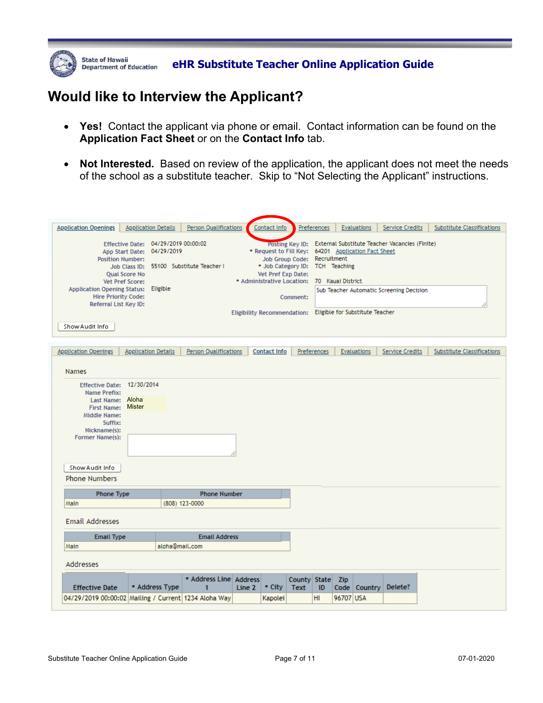

### **Would like to Interview the Applicant?**

- **Yes!** Contact the applicant via phone or email. Contact information can be found on the **Application Fact Sheet** or on the **Contact Info** tab.
- **Not Interested.** Based on review of the application, the applicant does not meet the needs of the school as a substitute teacher. Skip to "Not Selecting the Applicant" instructions.

| <b>Application Openings</b><br><b>Application Details</b>                                                                                                                                                                                                 | <b>Person Qualifications</b>                   | Contact Info                                                                                                                      | Preferences                                                                | Evaluations                                                                                                                                                       | Service Credits | Substitute Classifications        |  |  |  |
|-----------------------------------------------------------------------------------------------------------------------------------------------------------------------------------------------------------------------------------------------------------|------------------------------------------------|-----------------------------------------------------------------------------------------------------------------------------------|----------------------------------------------------------------------------|-------------------------------------------------------------------------------------------------------------------------------------------------------------------|-----------------|-----------------------------------|--|--|--|
| Effective Date: 04/29/2019 00:00:02<br>App Start Date: 04/29/2019<br><b>Position Number:</b><br><b>Qual Score No</b><br>Vet Pref Score:<br>Application Opening Status: Eligible<br><b>Hire Priority Code:</b><br>Referral List Key ID:<br>Show Audit Info | Job Class ID: 55100 Substitute Teacher I       | Vet Pref Exp Date:<br>* Administrative Location: 70 Kauai District<br>Eligibility Recommendation: Eligible for Substitute Teacher | Job Group Code: Recruitment<br>* Job Category ID: TCH Teaching<br>Comment: | Posting Key ID: External Substitute Teacher Vacancies (Finite)<br>* Request to Fill Key: 64201 Application Fact Sheet<br>Sub Teacher Automatic Screening Decision |                 |                                   |  |  |  |
|                                                                                                                                                                                                                                                           |                                                |                                                                                                                                   |                                                                            |                                                                                                                                                                   |                 |                                   |  |  |  |
| <b>Application Openings</b><br><b>Application Details</b>                                                                                                                                                                                                 | Person Qualifications                          | Contact Info                                                                                                                      | Preferences                                                                | Evaluations                                                                                                                                                       | Service Credits | <b>Substitute Classifications</b> |  |  |  |
| <b>Names</b>                                                                                                                                                                                                                                              |                                                |                                                                                                                                   |                                                                            |                                                                                                                                                                   |                 |                                   |  |  |  |
| Effective Date: 12/30/2014<br><b>Name Prefix:</b><br>Last Name: Aloha<br><b>Mister</b><br>First Name:<br>Middle Name:<br>Suffix:<br>Nickname(s):<br>Former Name(s):<br>Show Audit Info<br>Phone Numbers                                                   |                                                |                                                                                                                                   |                                                                            |                                                                                                                                                                   |                 |                                   |  |  |  |
| <b>Phone Type</b>                                                                                                                                                                                                                                         | <b>Phone Number</b>                            |                                                                                                                                   |                                                                            |                                                                                                                                                                   |                 |                                   |  |  |  |
| (808) 123-0000<br>Main<br><b>Email Addresses</b>                                                                                                                                                                                                          |                                                |                                                                                                                                   |                                                                            |                                                                                                                                                                   |                 |                                   |  |  |  |
| <b>Email Type</b>                                                                                                                                                                                                                                         | <b>Email Address</b>                           |                                                                                                                                   |                                                                            |                                                                                                                                                                   |                 |                                   |  |  |  |
| aloha@mail.com<br>Main                                                                                                                                                                                                                                    |                                                |                                                                                                                                   |                                                                            |                                                                                                                                                                   |                 |                                   |  |  |  |
| <b>Addresses</b>                                                                                                                                                                                                                                          |                                                |                                                                                                                                   |                                                                            |                                                                                                                                                                   |                 |                                   |  |  |  |
| * Address Type<br><b>Effective Date</b>                                                                                                                                                                                                                   | * Address Line Address<br>$\blacktriangleleft$ | * City<br>Line 2                                                                                                                  | County State Zip<br><b>Text</b><br>ID                                      | Code   Country                                                                                                                                                    | Delete?         |                                   |  |  |  |
|                                                                                                                                                                                                                                                           |                                                |                                                                                                                                   |                                                                            |                                                                                                                                                                   |                 |                                   |  |  |  |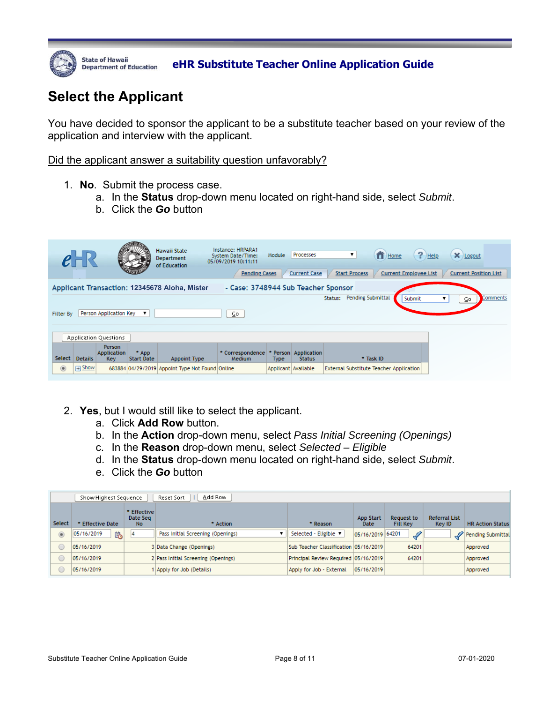

State of Hawaii *Department of Education* **eHR Substitute Teacher Online Application Guide** 

# **Select the Applicant**

You have decided to sponsor the applicant to be a substitute teacher based on your review of the application and interview with the applicant.

Did the applicant answer a suitability question unfavorably?

- 1. **No**. Submit the process case.
	- a. In the **Status** drop-down menu located on right-hand side, select *Submit*.
	- b. Click the *Go* button

|                                                                                      |                |                              |                            | <b>Hawaii State</b><br><b>Department</b><br>of Education | Instance: HRPARA1<br>System Date/Time:<br>05/09/2019 10:11:11<br><b>Pending Cases</b> | Module                | Processes<br><b>Current Case</b> | $f$ Home<br>▼<br><b>Start Process</b><br><b>Current Employee List</b> | $P$ Help<br>$\mathsf{X}$ Logout<br><b>Current Position List</b> |  |
|--------------------------------------------------------------------------------------|----------------|------------------------------|----------------------------|----------------------------------------------------------|---------------------------------------------------------------------------------------|-----------------------|----------------------------------|-----------------------------------------------------------------------|-----------------------------------------------------------------|--|
| - Case: 3748944 Sub Teacher Sponsor<br>Applicant Transaction: 12345678 Aloha, Mister |                |                              |                            |                                                          |                                                                                       |                       |                                  |                                                                       |                                                                 |  |
| Pending Submittal<br>Comments<br>Status:<br>Submit<br>⊆o                             |                |                              |                            |                                                          |                                                                                       |                       |                                  |                                                                       |                                                                 |  |
| <b>Filter By</b>                                                                     |                | Person Application Key       | ▼                          |                                                          | ⊆o                                                                                    |                       |                                  |                                                                       |                                                                 |  |
|                                                                                      |                |                              |                            |                                                          |                                                                                       |                       |                                  |                                                                       |                                                                 |  |
|                                                                                      |                | <b>Application Questions</b> |                            |                                                          |                                                                                       |                       |                                  |                                                                       |                                                                 |  |
| Select                                                                               | <b>Details</b> | Person<br>Application<br>Key | * App<br><b>Start Date</b> | Appoint Type                                             | * Correspondence<br>Medium                                                            | Person<br><b>Type</b> | Application<br><b>Status</b>     | * Task ID                                                             |                                                                 |  |
| $\circledcirc$                                                                       | Show<br>$+$    |                              |                            | 683884 04/29/2019 Appoint Type Not Found Online          |                                                                                       | Applicant Available   |                                  | <b>External Substitute Teacher Application</b>                        |                                                                 |  |

- 2. **Yes**, but I would still like to select the applicant.
	- a. Click **Add Row** button.
	- b. In the **Action** drop-down menu, select *Pass Initial Screening (Openings)*
	- c. In the **Reason** drop-down menu, select *Selected Eligible*
	- d. In the **Status** drop-down menu located on right-hand side, select *Submit*.
	- e. Click the *Go* button

|            | Add Row<br>Reset Sort<br>Show Highest Sequence |                                |                                     |                                       |                                 |                               |                                |                         |  |  |  |  |  |
|------------|------------------------------------------------|--------------------------------|-------------------------------------|---------------------------------------|---------------------------------|-------------------------------|--------------------------------|-------------------------|--|--|--|--|--|
| Select     | * Effective Date                               | * Effective<br>Date Seg<br>No. | * Action                            | * Reason                              | <b>App Start</b><br><b>Date</b> | Request to<br><b>Fill Key</b> | <b>Referral List</b><br>Key ID | <b>HR Action Status</b> |  |  |  |  |  |
| $^{\circ}$ | 陷<br>05/16/2019                                | 4                              | Pass Initial Screening (Openings)   | Selected - Eligible ▼                 | 05/16/2019 64201                | $\mathscr{L}$                 |                                | Pending Submittal       |  |  |  |  |  |
|            | 05/16/2019                                     |                                | 3 Data Change (Openings)            | Sub Teacher Classification 05/16/2019 |                                 | 64201                         |                                | Approved                |  |  |  |  |  |
|            | 05/16/2019                                     |                                | 2 Pass Initial Screening (Openings) | Principal Review Required 05/16/2019  |                                 | 64201                         |                                | Approved                |  |  |  |  |  |
|            | 05/16/2019                                     |                                | Apply for Job (Details)             | Apply for Job - External              | 05/16/2019                      |                               |                                | Approved                |  |  |  |  |  |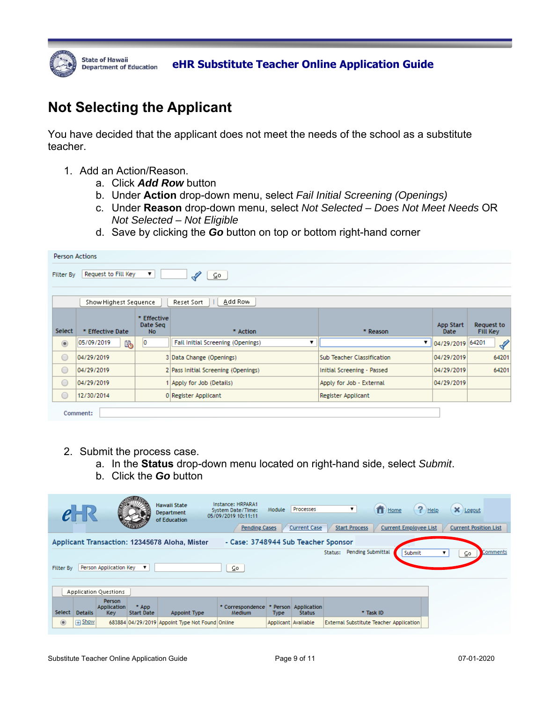

# **Not Selecting the Applicant**

You have decided that the applicant does not meet the needs of the school as a substitute teacher.

- 1. Add an Action/Reason.
	- a. Click *Add Row* button
	- b. Under **Action** drop-down menu, select *Fail Initial Screening (Openings)*
	- c. Under **Reason** drop-down menu, select *Not Selected Does Not Meet Needs* OR *Not Selected – Not Eligible*
	- d. Save by clicking the *Go* button on top or bottom right-hand corner

|                | <b>Person Actions</b>                                                            |                                            |                                     |                                   |                               |                        |  |  |  |  |  |
|----------------|----------------------------------------------------------------------------------|--------------------------------------------|-------------------------------------|-----------------------------------|-------------------------------|------------------------|--|--|--|--|--|
| Filter By      | Request to Fill Key<br>$\mathscr{L}$<br>⊆o,                                      |                                            |                                     |                                   |                               |                        |  |  |  |  |  |
|                | Add Row<br>Show Highest Sequence<br>Reset Sort                                   |                                            |                                     |                                   |                               |                        |  |  |  |  |  |
| Select         | * Effective<br>Date Seq<br>* Effective Date<br>* Reason<br><b>No</b><br>* Action |                                            |                                     | <b>App Start</b><br>Date          | Request to<br><b>Fill Key</b> |                        |  |  |  |  |  |
| $\circledcirc$ | 陷<br>05/09/2019                                                                  | 10                                         | Fail Initial Screening (Openings)   | ▼                                 | 04/29/2019                    | $\mathscr{L}$<br>64201 |  |  |  |  |  |
| $\circ$        | 04/29/2019                                                                       |                                            | 3 Data Change (Openings)            | <b>Sub Teacher Classification</b> | 04/29/2019                    | 64201                  |  |  |  |  |  |
| $\circ$        | 04/29/2019                                                                       |                                            | 2 Pass Initial Screening (Openings) | Initial Screening - Passed        | 04/29/2019                    | 64201                  |  |  |  |  |  |
| $\circ$        | 04/29/2019                                                                       |                                            | 1 Apply for Job (Details)           | Apply for Job - External          | 04/29/2019                    |                        |  |  |  |  |  |
| $\circ$        | 12/30/2014                                                                       | 0 Register Applicant<br>Register Applicant |                                     |                                   |                               |                        |  |  |  |  |  |
|                | Comment:                                                                         |                                            |                                     |                                   |                               |                        |  |  |  |  |  |

- 2. Submit the process case.
	- a. In the **Status** drop-down menu located on right-hand side, select *Submit*.
	- b. Click the *Go* button

|                                                                                      |                                                                 |                                                   |                            | <b>Hawaii State</b><br><b>Department</b><br>of Education | Instance: HRPARA1<br>System Date/Time:<br>05/09/2019 10:11:11<br><b>Pending Cases</b> | Module              | Processes<br><b>Current Case</b>    | $f$ Home<br>▼<br><b>Start Process</b><br><b>Current Employee List</b> | $?$ Help<br>X Logout<br><b>Current Position List</b> |  |  |
|--------------------------------------------------------------------------------------|-----------------------------------------------------------------|---------------------------------------------------|----------------------------|----------------------------------------------------------|---------------------------------------------------------------------------------------|---------------------|-------------------------------------|-----------------------------------------------------------------------|------------------------------------------------------|--|--|
| Applicant Transaction: 12345678 Aloha, Mister<br>- Case: 3748944 Sub Teacher Sponsor |                                                                 |                                                   |                            |                                                          |                                                                                       |                     |                                     |                                                                       |                                                      |  |  |
|                                                                                      | <b>Pending Submittal</b><br>Comments<br>Status:<br>Submit<br>⊆o |                                                   |                            |                                                          |                                                                                       |                     |                                     |                                                                       |                                                      |  |  |
| <b>Filter By</b>                                                                     |                                                                 | Person Application Key                            |                            |                                                          | ⊆o                                                                                    |                     |                                     |                                                                       |                                                      |  |  |
|                                                                                      |                                                                 |                                                   |                            |                                                          |                                                                                       |                     |                                     |                                                                       |                                                      |  |  |
|                                                                                      |                                                                 | <b>Application Questions</b>                      |                            |                                                          |                                                                                       |                     |                                     |                                                                       |                                                      |  |  |
| <b>Select</b>                                                                        | <b>Details</b>                                                  | <b>Person</b><br><b>Application</b><br><b>Key</b> | * App<br><b>Start Date</b> | Appoint Type                                             | * Correspondence<br>Medium                                                            | <b>Type</b>         | Person Application<br><b>Status</b> | * Task ID                                                             |                                                      |  |  |
| $\circledcirc$                                                                       | Show<br>田                                                       |                                                   |                            | 683884 04/29/2019 Appoint Type Not Found Online          |                                                                                       | Applicant Available |                                     | <b>External Substitute Teacher Application</b>                        |                                                      |  |  |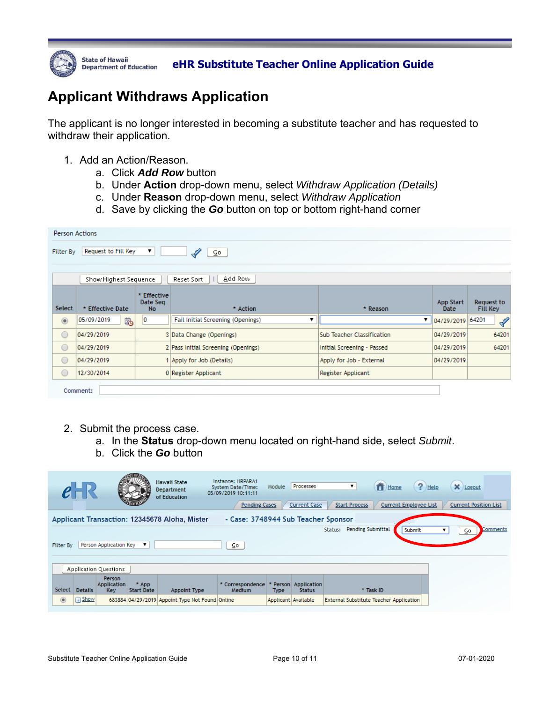

State of Hawaii *Department of Education* eHR Substitute Teacher Online Application Guide

# **Applicant Withdraws Application**

The applicant is no longer interested in becoming a substitute teacher and has requested to withdraw their application.

- 1. Add an Action/Reason.
	- a. Click *Add Row* button
	- b. Under **Action** drop-down menu, select *Withdraw Application (Details)*
	- c. Under **Reason** drop-down menu, select *Withdraw Application*
	- d. Save by clicking the *Go* button on top or bottom right-hand corner

|                | <b>Person Actions</b>                                                            |    |                                        |                                   |            |                               |  |  |  |  |  |
|----------------|----------------------------------------------------------------------------------|----|----------------------------------------|-----------------------------------|------------|-------------------------------|--|--|--|--|--|
| Filter By      | Request to Fill Key<br>▼<br>$\overline{\mathsf{Co}}$                             |    |                                        |                                   |            |                               |  |  |  |  |  |
|                | Add Row<br>Show Highest Sequence<br>Reset Sort                                   |    |                                        |                                   |            |                               |  |  |  |  |  |
| Select         | * Effective<br>Date Seg<br>* Effective Date<br><b>No</b><br>* Action<br>* Reason |    |                                        |                                   |            | Request to<br><b>Fill Key</b> |  |  |  |  |  |
| $\circledcirc$ | 陷<br>05/09/2019                                                                  | 10 | Fail Initial Screening (Openings)<br>▼ | ▼                                 | 04/29/2019 | 64201<br>$\mathscr{L}$        |  |  |  |  |  |
| $\circ$        | 04/29/2019                                                                       |    | 3 Data Change (Openings)               | <b>Sub Teacher Classification</b> | 04/29/2019 | 64201                         |  |  |  |  |  |
| $\bigcirc$     | 04/29/2019                                                                       |    | 2 Pass Initial Screening (Openings)    | Initial Screening - Passed        | 04/29/2019 | 64201                         |  |  |  |  |  |
| $\bigcirc$     | 04/29/2019                                                                       |    | 1 Apply for Job (Details)              | Apply for Job - External          | 04/29/2019 |                               |  |  |  |  |  |
| $\circ$        | 12/30/2014<br>Register Applicant<br>0 Register Applicant                         |    |                                        |                                   |            |                               |  |  |  |  |  |
|                | Comment:                                                                         |    |                                        |                                   |            |                               |  |  |  |  |  |

- 2. Submit the process case.
	- a. In the **Status** drop-down menu located on right-hand side, select *Submit*.
	- b. Click the *Go* button

|                                                                                      |                |                                            |                            | Hawaii State<br><b>Department</b><br>of Education | Instance: HRPARA1<br>System Date/Time:<br>05/09/2019 10:11:11<br><b>Pending Cases</b> | Module                | Processes<br><b>Current Case</b> | $f$ Home<br>▼<br><b>Start Process</b><br><b>Current Employee List</b> | $?$ Help<br>X Logout<br><b>Current Position List</b> |  |
|--------------------------------------------------------------------------------------|----------------|--------------------------------------------|----------------------------|---------------------------------------------------|---------------------------------------------------------------------------------------|-----------------------|----------------------------------|-----------------------------------------------------------------------|------------------------------------------------------|--|
| - Case: 3748944 Sub Teacher Sponsor<br>Applicant Transaction: 12345678 Aloha, Mister |                |                                            |                            |                                                   |                                                                                       |                       |                                  |                                                                       |                                                      |  |
| Pending Submittal<br>Comments<br>Status:<br>Submit<br>⊆o                             |                |                                            |                            |                                                   |                                                                                       |                       |                                  |                                                                       |                                                      |  |
| <b>Filter By</b>                                                                     |                | Person Application Key                     | ▼                          |                                                   | ⊆o                                                                                    |                       |                                  |                                                                       |                                                      |  |
|                                                                                      |                |                                            |                            |                                                   |                                                                                       |                       |                                  |                                                                       |                                                      |  |
|                                                                                      |                | <b>Application Questions</b>               |                            |                                                   |                                                                                       |                       |                                  |                                                                       |                                                      |  |
| <b>Select</b>                                                                        | <b>Details</b> | Person<br><b>Application</b><br><b>Key</b> | * App<br><b>Start Date</b> | Appoint Type                                      | * Correspondence<br>Medium                                                            | Person<br><b>Type</b> | Application<br><b>Status</b>     | * Task ID                                                             |                                                      |  |
| $\circledcirc$                                                                       | $\Box$ Show    |                                            |                            | 683884 04/29/2019 Appoint Type Not Found Online   |                                                                                       | Applicant Available   |                                  | <b>External Substitute Teacher Application</b>                        |                                                      |  |